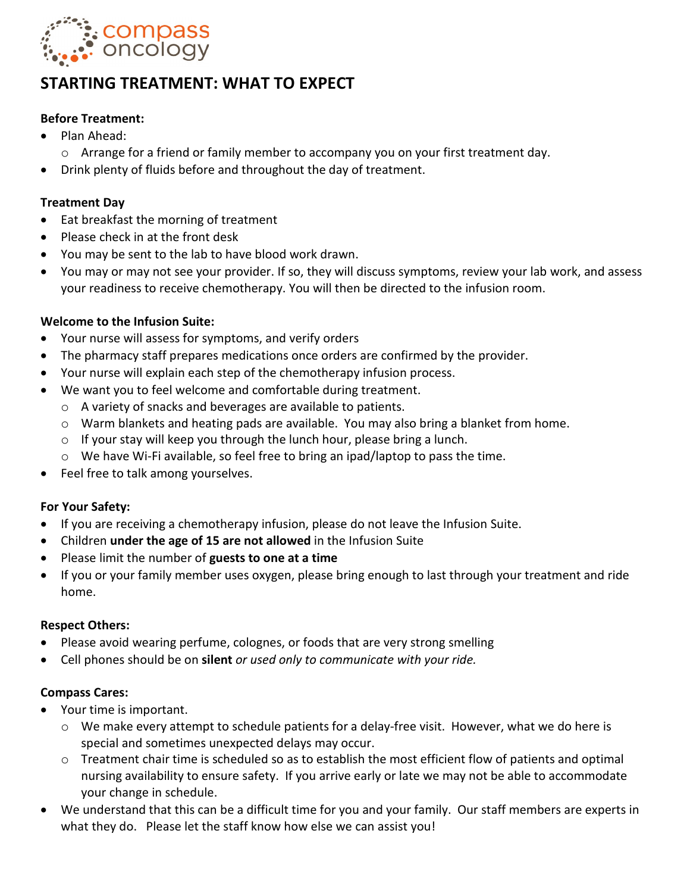

# **STARTING TREATMENT: WHAT TO EXPECT**

## **Before Treatment:**

- Plan Ahead:
	- $\circ$  Arrange for a friend or family member to accompany you on your first treatment day.
- Drink plenty of fluids before and throughout the day of treatment.

## **Treatment Day**

- Eat breakfast the morning of treatment
- Please check in at the front desk
- You may be sent to the lab to have blood work drawn.
- You may or may not see your provider. If so, they will discuss symptoms, review your lab work, and assess your readiness to receive chemotherapy. You will then be directed to the infusion room.

## **Welcome to the Infusion Suite:**

- Your nurse will assess for symptoms, and verify orders
- The pharmacy staff prepares medications once orders are confirmed by the provider.
- Your nurse will explain each step of the chemotherapy infusion process.
- We want you to feel welcome and comfortable during treatment.
	- o A variety of snacks and beverages are available to patients.
	- o Warm blankets and heating pads are available. You may also bring a blanket from home.
	- o If your stay will keep you through the lunch hour, please bring a lunch.
	- $\circ$  We have Wi-Fi available, so feel free to bring an ipad/laptop to pass the time.
- Feel free to talk among yourselves.

## **For Your Safety:**

- If you are receiving a chemotherapy infusion, please do not leave the Infusion Suite.
- Children **under the age of 15 are not allowed** in the Infusion Suite
- Please limit the number of **guests to one at a time**
- If you or your family member uses oxygen, please bring enough to last through your treatment and ride home.

## **Respect Others:**

- Please avoid wearing perfume, colognes, or foods that are very strong smelling
- Cell phones should be on **silent** *or used only to communicate with your ride.*

## **Compass Cares:**

- Your time is important.
	- $\circ$  We make every attempt to schedule patients for a delay-free visit. However, what we do here is special and sometimes unexpected delays may occur.
	- o Treatment chair time is scheduled so as to establish the most efficient flow of patients and optimal nursing availability to ensure safety. If you arrive early or late we may not be able to accommodate your change in schedule.
- We understand that this can be a difficult time for you and your family. Our staff members are experts in what they do. Please let the staff know how else we can assist you!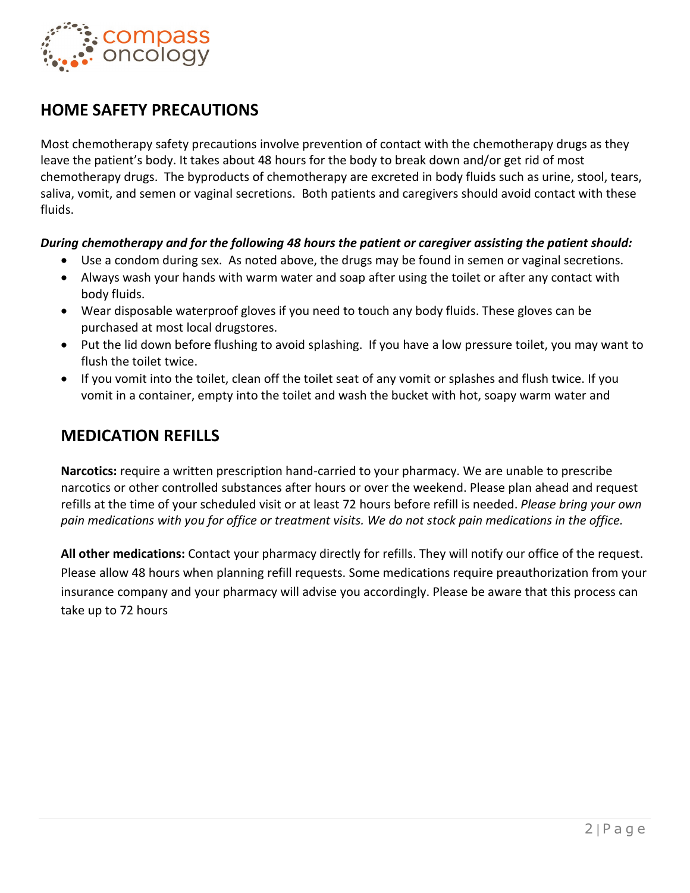

# **HOME SAFETY PRECAUTIONS**

Most chemotherapy safety precautions involve prevention of contact with the chemotherapy drugs as they leave the patient's body. It takes about 48 hours for the body to break down and/or get rid of most chemotherapy drugs. The byproducts of chemotherapy are excreted in body fluids such as urine, stool, tears, saliva, vomit, and semen or vaginal secretions. Both patients and caregivers should avoid contact with these fluids.

### *During chemotherapy and for the following 48 hours the patient or caregiver assisting the patient should:*

- Use a condom during sex. As noted above, the drugs may be found in semen or vaginal secretions.
- Always wash your hands with warm water and soap after using the toilet or after any contact with body fluids.
- Wear disposable waterproof gloves if you need to touch any body fluids. These gloves can be purchased at most local drugstores.
- Put the lid down before flushing to avoid splashing. If you have a low pressure toilet, you may want to flush the toilet twice.
- If you vomit into the toilet, clean off the toilet seat of any vomit or splashes and flush twice. If you vomit in a container, empty into the toilet and wash the bucket with hot, soapy warm water and

## **MEDICATION REFILLS**

**Narcotics:** require a written prescription hand-carried to your pharmacy. We are unable to prescribe narcotics or other controlled substances after hours or over the weekend. Please plan ahead and request refills at the time of your scheduled visit or at least 72 hours before refill is needed. *Please bring your own pain medications with you for office or treatment visits. We do not stock pain medications in the office.* 

**All other medications:** Contact your pharmacy directly for refills. They will notify our office of the request. Please allow 48 hours when planning refill requests. Some medications require preauthorization from your insurance company and your pharmacy will advise you accordingly. Please be aware that this process can take up to 72 hours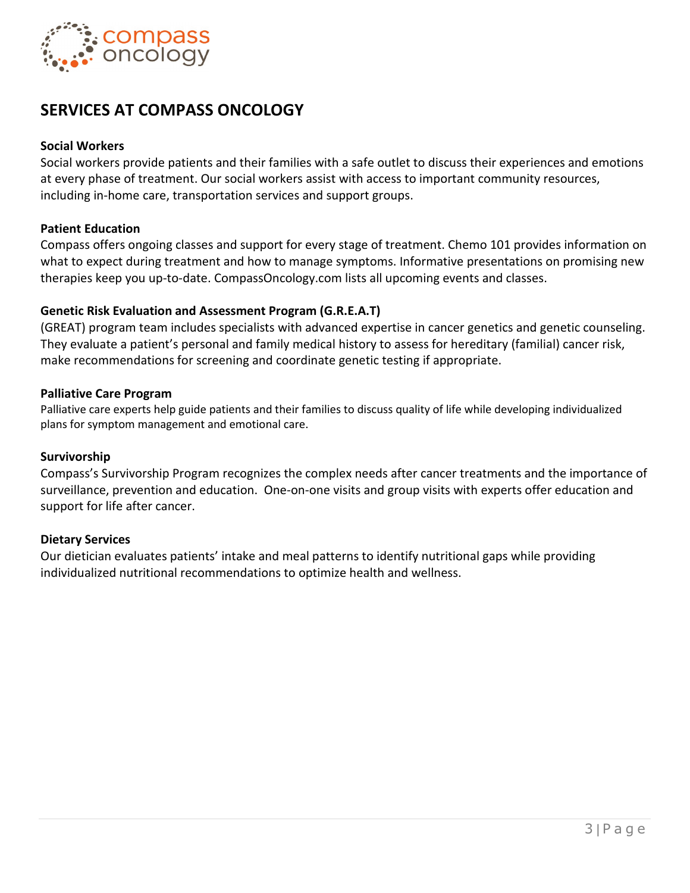

# **SERVICES AT COMPASS ONCOLOGY**

### **Social Workers**

Social workers provide patients and their families with a safe outlet to discuss their experiences and emotions at every phase of treatment. Our social workers assist with access to important community resources, including in-home care, transportation services and support groups.

### **Patient Education**

Compass offers ongoing classes and support for every stage of treatment. Chemo 101 provides information on what to expect during treatment and how to manage symptoms. Informative presentations on promising new therapies keep you up-to-date. CompassOncology.com lists all upcoming events and classes.

### **Genetic Risk Evaluation and Assessment Program (G.R.E.A.T)**

(GREAT) program team includes specialists with advanced expertise in cancer genetics and genetic counseling. They evaluate a patient's personal and family medical history to assess for hereditary (familial) cancer risk, make recommendations for screening and coordinate genetic testing if appropriate.

### **Palliative Care Program**

Palliative care experts help guide patients and their families to discuss quality of life while developing individualized plans for symptom management and emotional care.

### **Survivorship**

Compass's Survivorship Program recognizes the complex needs after cancer treatments and the importance of surveillance, prevention and education. One-on-one visits and group visits with experts offer education and support for life after cancer.

### **Dietary Services**

Our dietician evaluates patients' intake and meal patterns to identify nutritional gaps while providing individualized nutritional recommendations to optimize health and wellness.